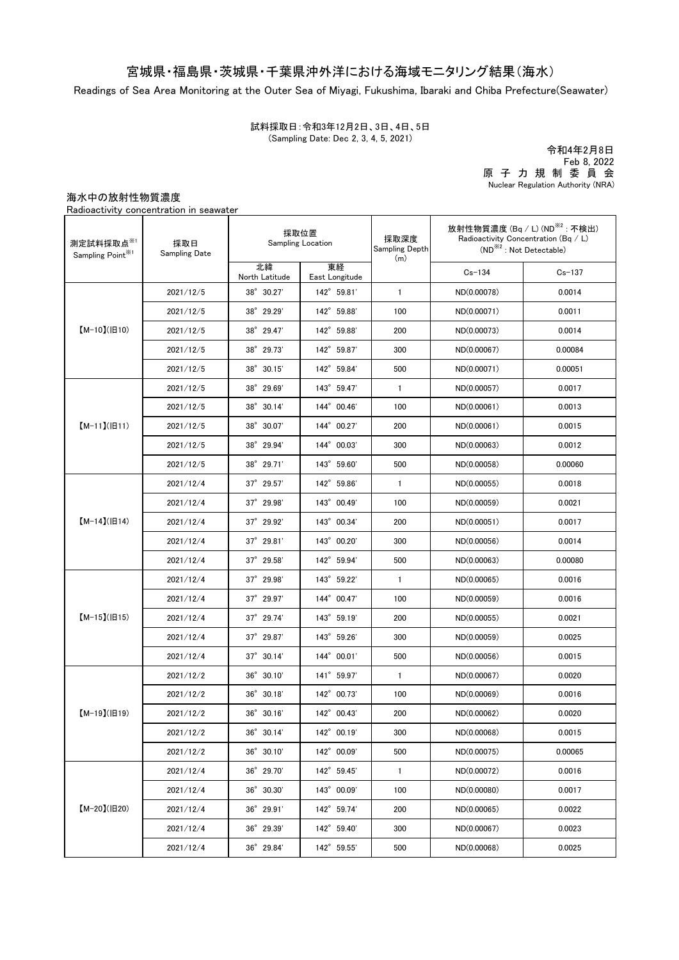## 宮城県・福島県・茨城県・千葉県沖外洋における海域モニタリング結果(海水)

Readings of Sea Area Monitoring at the Outer Sea of Miyagi, Fukushima, Ibaraki and Chiba Prefecture(Seawater)

試料採取日:令和3年12月2日、3日、4日、5日 (Sampling Date: Dec 2, 3, 4, 5, 2021)

令和4年2月8日 Feb 8, 2022 原 子 力 規 制 委 員 会 Nuclear Regulation Authority (NRA)

## 海水中の放射性物質濃度

Radioactivity concentration in seawater

| 測定試料採取点 $^{\divideontimes 1}$<br>Sampling Point <sup>※1</sup> | 採取日<br>Sampling Date | 採取位置<br><b>Sampling Location</b> |                      | 採取深度<br>Sampling Depth<br>(m) | 放射性物質濃度 (Bq / L) (ND <sup>※2</sup> : 不検出)<br>Radioactivity Concentration (Bq / L)<br>$(ND^{\divideontimes 2} : Not \: Detection)$ |            |
|---------------------------------------------------------------|----------------------|----------------------------------|----------------------|-------------------------------|-----------------------------------------------------------------------------------------------------------------------------------|------------|
|                                                               |                      | 北緯<br>North Latitude             | 東経<br>East Longitude |                               | $Cs - 134$                                                                                                                        | $Cs - 137$ |
| $[M-10](H10)$                                                 | 2021/12/5            | 38° 30.27'                       | 142° 59.81'          | $\mathbf{1}$                  | ND(0.00078)                                                                                                                       | 0.0014     |
|                                                               | 2021/12/5            | 38° 29.29'                       | 142° 59.88'          | 100                           | ND(0.00071)                                                                                                                       | 0.0011     |
|                                                               | 2021/12/5            | 38° 29.47'                       | 142° 59.88'          | 200                           | ND(0.00073)                                                                                                                       | 0.0014     |
|                                                               | 2021/12/5            | 38° 29.73'                       | 142° 59.87'          | 300                           | ND(0.00067)                                                                                                                       | 0.00084    |
|                                                               | 2021/12/5            | 38° 30.15'                       | 142° 59.84'          | 500                           | ND(0.00071)                                                                                                                       | 0.00051    |
| $[M-11]$ ( $[H11]$                                            | 2021/12/5            | 38° 29.69'                       | 143° 59.47'          | $\mathbf{1}$                  | ND(0.00057)                                                                                                                       | 0.0017     |
|                                                               | 2021/12/5            | $38^{\circ}$ 30.14'              | 144° 00.46'          | 100                           | ND(0.00061)                                                                                                                       | 0.0013     |
|                                                               | 2021/12/5            | 38° 30.07'                       | 144° 00.27'          | 200                           | ND(0.00061)                                                                                                                       | 0.0015     |
|                                                               | 2021/12/5            | 38° 29.94'                       | 144° 00.03'          | 300                           | ND(0.00063)                                                                                                                       | 0.0012     |
|                                                               | 2021/12/5            | 38° 29.71'                       | 143° 59.60'          | 500                           | ND(0.00058)                                                                                                                       | 0.00060    |
| $[M-14]( H14)$                                                | 2021/12/4            | 37° 29.57'                       | 142° 59.86'          | $\mathbf{1}$                  | ND(0.00055)                                                                                                                       | 0.0018     |
|                                                               | 2021/12/4            | $37^{\circ}$ 29.98               | 143° 00.49'          | 100                           | ND(0.00059)                                                                                                                       | 0.0021     |
|                                                               | 2021/12/4            | $37^{\circ}$ 29.92'              | 143° 00.34'          | 200                           | ND(0.00051)                                                                                                                       | 0.0017     |
|                                                               | 2021/12/4            | $37^{\circ}$ 29.81'              | 143° 00.20'          | 300                           | ND(0.00056)                                                                                                                       | 0.0014     |
|                                                               | 2021/12/4            | $37^{\circ}$ 29.58'              | 142° 59.94'          | 500                           | ND(0.00063)                                                                                                                       | 0.00080    |
| $[M-15](H15)$                                                 | 2021/12/4            | $37^{\circ}$ 29.98'              | 143° 59.22'          | $\mathbf{1}$                  | ND(0.00065)                                                                                                                       | 0.0016     |
|                                                               | 2021/12/4            | $37^{\circ}$ 29.97'              | 144° 00.47'          | 100                           | ND(0.00059)                                                                                                                       | 0.0016     |
|                                                               | 2021/12/4            | $37^{\circ}$ 29.74'              | 143° 59.19'          | 200                           | ND(0.00055)                                                                                                                       | 0.0021     |
|                                                               | 2021/12/4            | $37^{\circ}$ 29.87'              | 143° 59.26'          | 300                           | ND(0.00059)                                                                                                                       | 0.0025     |
|                                                               | 2021/12/4            | $37^{\circ}$ 30.14'              | 144° 00.01'          | 500                           | ND(0.00056)                                                                                                                       | 0.0015     |
| $[M-19](H19)$                                                 | 2021/12/2            | 36° 30.10'                       | 141° 59.97'          | $\mathbf{1}$                  | ND(0.00067)                                                                                                                       | 0.0020     |
|                                                               | 2021/12/2            | 36°30.18'                        | 142° 00.73'          | 100                           | ND(0.00069)                                                                                                                       | 0.0016     |
|                                                               | 2021/12/2            | $36^{\circ}$ 30.16'              | 142° 00.43'          | 200                           | ND(0.00062)                                                                                                                       | 0.0020     |
|                                                               | 2021/12/2            | 36° 30.14'                       | 142° 00.19'          | 300                           | ND(0.00068)                                                                                                                       | 0.0015     |
|                                                               | 2021/12/2            | 36° 30.10'                       | 142° 00.09'          | 500                           | ND(0.00075)                                                                                                                       | 0.00065    |
| $[M-20](H20)$                                                 | 2021/12/4            | 36° 29.70'                       | 142° 59.45'          | $\mathbf{1}$                  | ND(0.00072)                                                                                                                       | 0.0016     |
|                                                               | 2021/12/4            | 36° 30.30'                       | 143° 00.09'          | 100                           | ND(0.00080)                                                                                                                       | 0.0017     |
|                                                               | 2021/12/4            | 36° 29.91'                       | 142° 59.74'          | 200                           | ND(0.00065)                                                                                                                       | 0.0022     |
|                                                               | 2021/12/4            | 36° 29.39'                       | 142° 59.40'          | 300                           | ND(0.00067)                                                                                                                       | 0.0023     |
|                                                               | 2021/12/4            | 36° 29.84'                       | 142° 59.55'          | 500                           | ND(0.00068)                                                                                                                       | 0.0025     |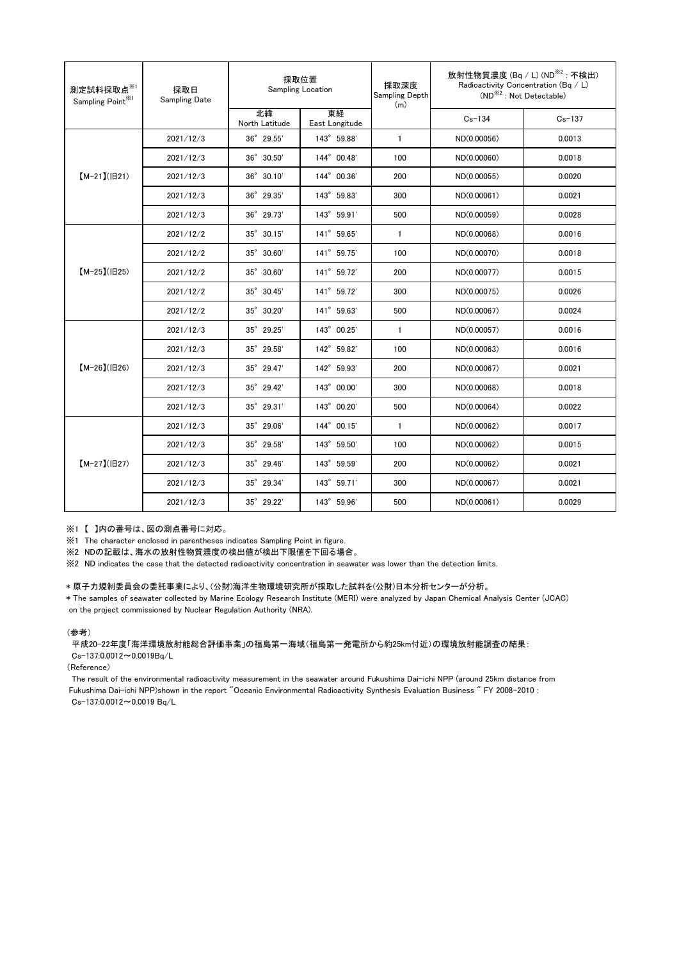| 測定試料採取点※1<br>Sampling Point <sup>※1</sup> | 採取日<br>Sampling Date | 採取位置<br><b>Sampling Location</b> |                      | 採取深度<br>Sampling Depth<br>(m) | 放射性物質濃度 (Bq / L) (ND <sup>※2</sup> : 不検出)<br>Radioactivity Concentration (Bq / L)<br>$\mathsf{(ND}^{\divideontimes 2}$ : Not Detectable) |            |
|-------------------------------------------|----------------------|----------------------------------|----------------------|-------------------------------|------------------------------------------------------------------------------------------------------------------------------------------|------------|
|                                           |                      | 北緯<br>North Latitude             | 東経<br>East Longitude |                               | $Cs - 134$                                                                                                                               | $Cs - 137$ |
| $[M-21](H21)$                             | 2021/12/3            | 36° 29.55'                       | 143° 59.88'          | $\mathbf{1}$                  | ND(0.00056)                                                                                                                              | 0.0013     |
|                                           | 2021/12/3            | 36° 30.50'                       | 144° 00.48'          | 100                           | ND(0.00060)                                                                                                                              | 0.0018     |
|                                           | 2021/12/3            | $36^{\circ}$ 30.10'              | 144° 00.36'          | 200                           | ND(0.00055)                                                                                                                              | 0.0020     |
|                                           | 2021/12/3            | 36° 29.35'                       | 143° 59.83'          | 300                           | ND(0.00061)                                                                                                                              | 0.0021     |
|                                           | 2021/12/3            | 36° 29.73'                       | 143° 59.91'          | 500                           | ND(0.00059)                                                                                                                              | 0.0028     |
| $[M-25](H25)$                             | 2021/12/2            | $35^{\circ}$ 30.15'              | 141° 59.65'          | $\mathbf{1}$                  | ND(0.00068)                                                                                                                              | 0.0016     |
|                                           | 2021/12/2            | 35° 30.60'                       | 141° 59.75'          | 100                           | ND(0.00070)                                                                                                                              | 0.0018     |
|                                           | 2021/12/2            | $35^{\circ}$ 30.60'              | 141° 59.72'          | 200                           | ND(0.00077)                                                                                                                              | 0.0015     |
|                                           | 2021/12/2            | $35^{\circ}$ 30.45'              | 141° 59.72'          | 300                           | ND(0.00075)                                                                                                                              | 0.0026     |
|                                           | 2021/12/2            | 35° 30.20'                       | 141° 59.63'          | 500                           | ND(0.00067)                                                                                                                              | 0.0024     |
| $[M-26](H26)$                             | 2021/12/3            | $35^{\circ}$ 29.25'              | $143^{\circ}$ 00.25' | $\mathbf{1}$                  | ND(0.00057)                                                                                                                              | 0.0016     |
|                                           | 2021/12/3            | 35° 29.58'                       | 142° 59.82'          | 100                           | ND(0.00063)                                                                                                                              | 0.0016     |
|                                           | 2021/12/3            | 35° 29.47'                       | 142° 59.93'          | 200                           | ND(0.00067)                                                                                                                              | 0.0021     |
|                                           | 2021/12/3            | 35° 29.42'                       | 143° 00.00'          | 300                           | ND(0.00068)                                                                                                                              | 0.0018     |
|                                           | 2021/12/3            | 35° 29.31'                       | 143° 00.20'          | 500                           | ND(0.00064)                                                                                                                              | 0.0022     |
| $[M-27](H27)$                             | 2021/12/3            | 35° 29.06'                       | 144° 00.15'          | $\mathbf{1}$                  | ND(0.00062)                                                                                                                              | 0.0017     |
|                                           | 2021/12/3            | 35° 29.58'                       | 143° 59.50'          | 100                           | ND(0.00062)                                                                                                                              | 0.0015     |
|                                           | 2021/12/3            | 35° 29.46'                       | 143° 59.59'          | 200                           | ND(0.00062)                                                                                                                              | 0.0021     |
|                                           | 2021/12/3            | 35° 29.34'                       | 143° 59.71'          | 300                           | ND(0.00067)                                                                                                                              | 0.0021     |
|                                           | 2021/12/3            | 35° 29.22'                       | 143° 59.96'          | 500                           | ND(0.00061)                                                                                                                              | 0.0029     |

※1 【 】内の番号は、図の測点番号に対応。

※1 The character enclosed in parentheses indicates Sampling Point in figure.

※2 NDの記載は、海水の放射性物質濃度の検出値が検出下限値を下回る場合。

※2 ND indicates the case that the detected radioactivity concentration in seawater was lower than the detection limits.

\* 原子力規制委員会の委託事業により、(公財)海洋生物環境研究所が採取した試料を(公財)日本分析センターが分析。

\* The samples of seawater collected by Marine Ecology Research Institute (MERI) were analyzed by Japan Chemical Analysis Center (JCAC) on the project commissioned by Nuclear Regulation Authority (NRA).

## (参考)

平成20-22年度「海洋環境放射能総合評価事業」の福島第一海域(福島第一発電所から約25km付近)の環境放射能調査の結果: Cs-137:0.0012~0.0019Bq/L

(Reference)

The result of the environmental radioactivity measurement in the seawater around Fukushima Dai-ichi NPP (around 25km distance from Fukushima Dai-ichi NPP)shown in the report "Oceanic Environmental Radioactivity Synthesis Evaluation Business " FY 2008-2010 : Cs-137:0.0012~0.0019 Bq/L